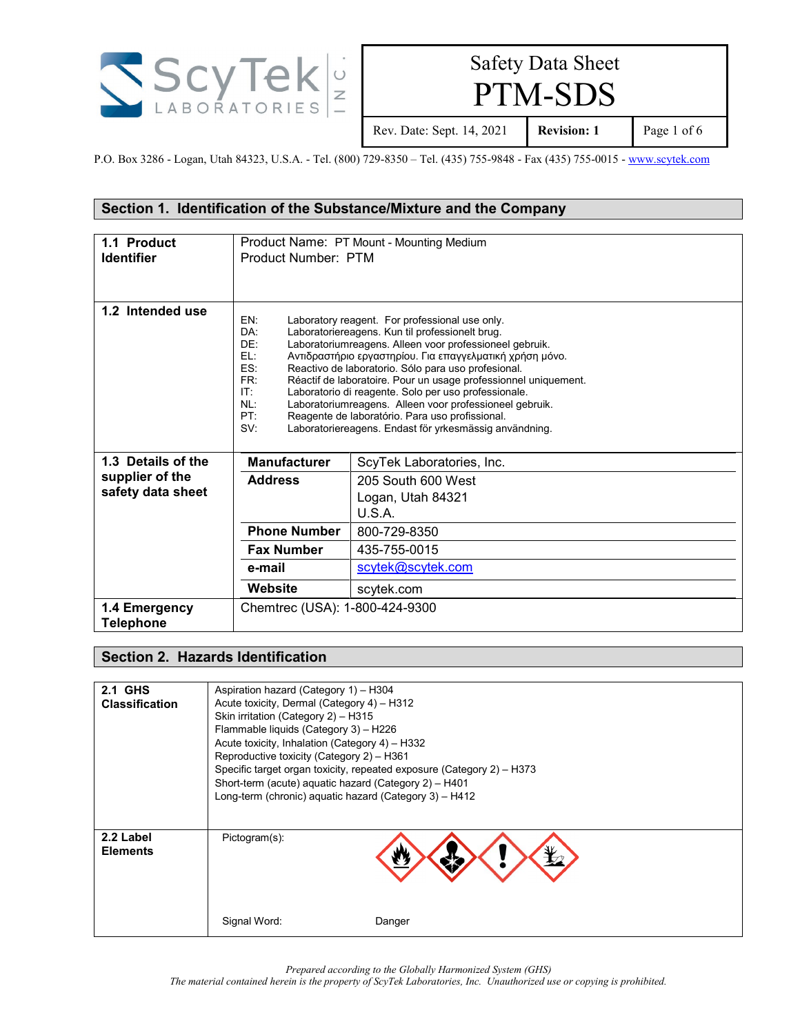

PTM-SDS

Rev. Date: Sept. 14, 2021 **Revision: 1** Page 1 of 6

P.O. Box 3286 - Logan, Utah 84323, U.S.A. - Tel. (800) 729-8350 – Tel. (435) 755-9848 - Fax (435) 755-0015 - [www.scytek.com](http://www.scytek.com/)

#### **Section 1. Identification of the Substance/Mixture and the Company**

| 1.1 Product        | Product Name: PT Mount - Mounting Medium |                                                                                                           |
|--------------------|------------------------------------------|-----------------------------------------------------------------------------------------------------------|
| <b>Identifier</b>  | Product Number: PTM                      |                                                                                                           |
|                    |                                          |                                                                                                           |
|                    |                                          |                                                                                                           |
|                    |                                          |                                                                                                           |
| 1.2 Intended use   | EN:                                      | Laboratory reagent. For professional use only.                                                            |
|                    | DA:                                      | Laboratoriereagens. Kun til professionelt brug.                                                           |
|                    | DE:                                      | Laboratoriumreagens. Alleen voor professioneel gebruik.                                                   |
|                    | EL:                                      | Αντιδραστήριο εργαστηρίου. Για επαγγελματική χρήση μόνο.                                                  |
|                    | ES:                                      | Reactivo de laboratorio. Sólo para uso profesional.                                                       |
|                    | FR:                                      | Réactif de laboratoire. Pour un usage professionnel uniquement.                                           |
|                    | IT:                                      | Laboratorio di reagente. Solo per uso professionale.                                                      |
|                    | NL:<br>PT:                               | Laboratoriumreagens. Alleen voor professioneel gebruik.                                                   |
|                    | SV:                                      | Reagente de laboratório. Para uso profissional.<br>Laboratoriereagens. Endast för yrkesmässig användning. |
|                    |                                          |                                                                                                           |
|                    |                                          |                                                                                                           |
| 1.3 Details of the | <b>Manufacturer</b>                      | ScyTek Laboratories, Inc.                                                                                 |
| supplier of the    | 205 South 600 West<br><b>Address</b>     |                                                                                                           |
| safety data sheet  |                                          | Logan, Utah 84321                                                                                         |
|                    |                                          | U.S.A.                                                                                                    |
|                    | <b>Phone Number</b>                      | 800-729-8350                                                                                              |
|                    | <b>Fax Number</b>                        | 435-755-0015                                                                                              |
|                    | e-mail                                   | scytek@scytek.com                                                                                         |
|                    | Website                                  | scytek.com                                                                                                |
| 1.4 Emergency      | Chemtrec (USA): 1-800-424-9300           |                                                                                                           |
| <b>Telephone</b>   |                                          |                                                                                                           |
|                    |                                          |                                                                                                           |

#### **Section 2. Hazards Identification**

| <b>2.1 GHS</b><br><b>Classification</b> | Aspiration hazard (Category 1) - H304<br>Acute toxicity, Dermal (Category 4) - H312<br>Skin irritation (Category 2) - H315<br>Flammable liquids (Category 3) - H226<br>Acute toxicity, Inhalation (Category 4) - H332<br>Reproductive toxicity (Category 2) - H361<br>Short-term (acute) aquatic hazard (Category 2) - H401<br>Long-term (chronic) aquatic hazard (Category 3) - H412 | Specific target organ toxicity, repeated exposure (Category 2) - H373 |
|-----------------------------------------|---------------------------------------------------------------------------------------------------------------------------------------------------------------------------------------------------------------------------------------------------------------------------------------------------------------------------------------------------------------------------------------|-----------------------------------------------------------------------|
| 2.2 Label<br><b>Elements</b>            | Pictogram(s):<br>Signal Word:                                                                                                                                                                                                                                                                                                                                                         | Danger                                                                |

*Prepared according to the Globally Harmonized System (GHS)*

*The material contained herein is the property of ScyTek Laboratories, Inc. Unauthorized use or copying is prohibited.*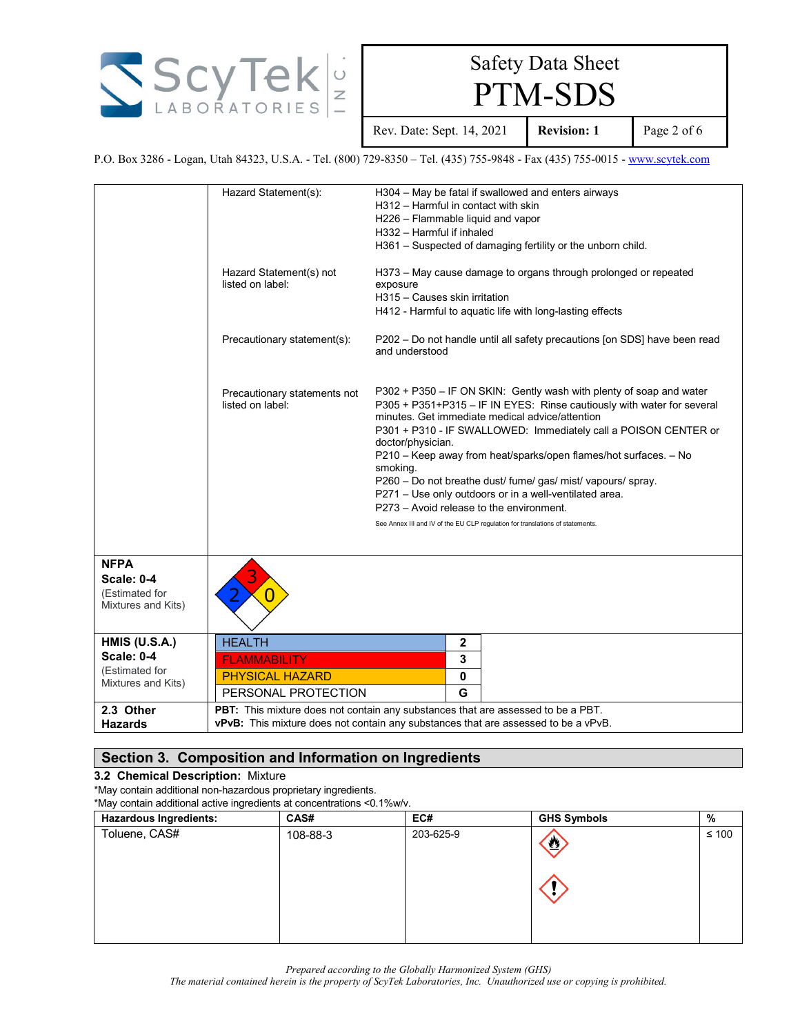

PTM-SDS

Rev. Date: Sept. 14, 2021 **Revision: 1** Page 2 of 6

P.O. Box 3286 - Logan, Utah 84323, U.S.A. - Tel. (800) 729-8350 – Tel. (435) 755-9848 - Fax (435) 755-0015 - [www.scytek.com](http://www.scytek.com/)

|                                                                                   | Hazard Statement(s):<br>Hazard Statement(s) not<br>listed on label:<br>Precautionary statement(s):<br>Precautionary statements not<br>listed on label: | H304 - May be fatal if swallowed and enters airways<br>H312 - Harmful in contact with skin<br>H226 - Flammable liquid and vapor<br>H332 - Harmful if inhaled<br>H361 - Suspected of damaging fertility or the unborn child.<br>H373 – May cause damage to organs through prolonged or repeated<br>exposure<br>H315 - Causes skin irritation<br>H412 - Harmful to aquatic life with long-lasting effects<br>P202 - Do not handle until all safety precautions [on SDS] have been read<br>and understood<br>P302 + P350 - IF ON SKIN: Gently wash with plenty of soap and water<br>P305 + P351+P315 - IF IN EYES: Rinse cautiously with water for several<br>minutes. Get immediate medical advice/attention<br>P301 + P310 - IF SWALLOWED: Immediately call a POISON CENTER or<br>doctor/physician.<br>P210 - Keep away from heat/sparks/open flames/hot surfaces. - No<br>smoking.<br>P260 - Do not breathe dust/ fume/ gas/ mist/ vapours/ spray.<br>P271 - Use only outdoors or in a well-ventilated area.<br>P273 - Avoid release to the environment. |
|-----------------------------------------------------------------------------------|--------------------------------------------------------------------------------------------------------------------------------------------------------|----------------------------------------------------------------------------------------------------------------------------------------------------------------------------------------------------------------------------------------------------------------------------------------------------------------------------------------------------------------------------------------------------------------------------------------------------------------------------------------------------------------------------------------------------------------------------------------------------------------------------------------------------------------------------------------------------------------------------------------------------------------------------------------------------------------------------------------------------------------------------------------------------------------------------------------------------------------------------------------------------------------------------------------------------------|
|                                                                                   |                                                                                                                                                        | See Annex III and IV of the EU CLP regulation for translations of statements.                                                                                                                                                                                                                                                                                                                                                                                                                                                                                                                                                                                                                                                                                                                                                                                                                                                                                                                                                                            |
| <b>NFPA</b><br><b>Scale: 0-4</b><br>(Estimated for<br>Mixtures and Kits)          |                                                                                                                                                        |                                                                                                                                                                                                                                                                                                                                                                                                                                                                                                                                                                                                                                                                                                                                                                                                                                                                                                                                                                                                                                                          |
| <b>HMIS (U.S.A.)</b><br><b>Scale: 0-4</b><br>(Estimated for<br>Mixtures and Kits) | <b>HEALTH</b><br><b>FLAMMABILITY</b><br><b>PHYSICAL HAZARD</b><br>PERSONAL PROTECTION                                                                  | 2<br>3<br>0<br>G                                                                                                                                                                                                                                                                                                                                                                                                                                                                                                                                                                                                                                                                                                                                                                                                                                                                                                                                                                                                                                         |
| 2.3 Other<br><b>Hazards</b>                                                       |                                                                                                                                                        | PBT: This mixture does not contain any substances that are assessed to be a PBT.<br><b>vPvB:</b> This mixture does not contain any substances that are assessed to be a vPvB.                                                                                                                                                                                                                                                                                                                                                                                                                                                                                                                                                                                                                                                                                                                                                                                                                                                                            |

#### **Section 3. Composition and Information on Ingredients**

#### **3.2 Chemical Description:** Mixture

\*May contain additional non-hazardous proprietary ingredients.

\*May contain additional active ingredients at concentrations <0.1%w/v.

| <b>Hazardous Ingredients:</b> | CAS#     | EC#       | <b>GHS Symbols</b>      | %          |
|-------------------------------|----------|-----------|-------------------------|------------|
| Toluene, CAS#                 | 108-88-3 | 203-625-9 | $\overline{\mathbf{v}}$ | $\leq 100$ |
|                               |          |           |                         |            |
|                               |          |           |                         |            |

*Prepared according to the Globally Harmonized System (GHS)*

*The material contained herein is the property of ScyTek Laboratories, Inc. Unauthorized use or copying is prohibited.*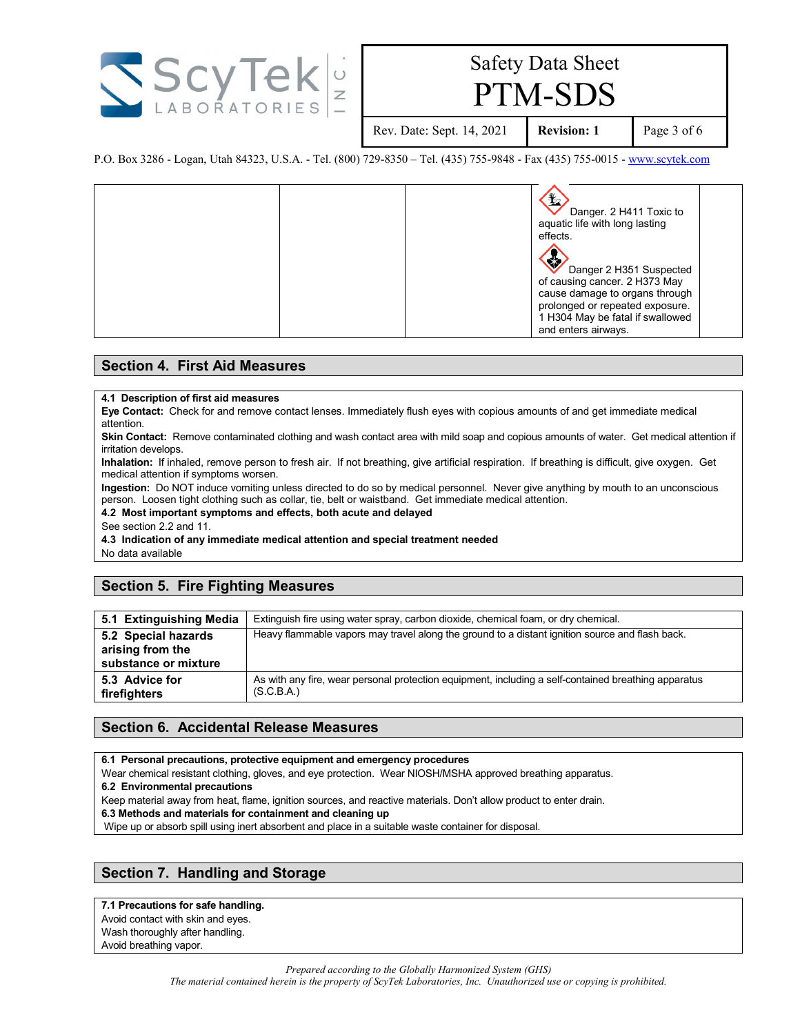

PTM-SDS

Rev. Date: Sept. 14, 2021 **Revision: 1** Page 3 of 6

P.O. Box 3286 - Logan, Utah 84323, U.S.A. - Tel. (800) 729-8350 – Tel. (435) 755-9848 - Fax (435) 755-0015 - [www.scytek.com](http://www.scytek.com/)

| Danger. 2 H411 Toxic to<br>aquatic life with long lasting<br>effects.<br><b>SEA</b><br>Danger 2 H351 Suspected<br>of causing cancer. 2 H373 May<br>cause damage to organs through<br>prolonged or repeated exposure. |  |
|----------------------------------------------------------------------------------------------------------------------------------------------------------------------------------------------------------------------|--|
| 1 H304 May be fatal if swallowed<br>and enters airways.                                                                                                                                                              |  |

#### **Section 4. First Aid Measures**

#### **4.1 Description of first aid measures**

**Eye Contact:** Check for and remove contact lenses. Immediately flush eyes with copious amounts of and get immediate medical attention.

**Skin Contact:** Remove contaminated clothing and wash contact area with mild soap and copious amounts of water. Get medical attention if irritation develops.

**Inhalation:** If inhaled, remove person to fresh air. If not breathing, give artificial respiration. If breathing is difficult, give oxygen. Get medical attention if symptoms worsen.

**Ingestion:** Do NOT induce vomiting unless directed to do so by medical personnel. Never give anything by mouth to an unconscious person. Loosen tight clothing such as collar, tie, belt or waistband. Get immediate medical attention.

**4.2 Most important symptoms and effects, both acute and delayed**

See section 2.2 and 11.

**4.3 Indication of any immediate medical attention and special treatment needed**

No data available

#### **Section 5. Fire Fighting Measures**

| 5.1 Extinguishing Media                                         | Extinguish fire using water spray, carbon dioxide, chemical foam, or dry chemical.                                 |
|-----------------------------------------------------------------|--------------------------------------------------------------------------------------------------------------------|
| 5.2 Special hazards<br>arising from the<br>substance or mixture | Heavy flammable vapors may travel along the ground to a distant ignition source and flash back.                    |
| 5.3 Advice for<br>firefighters                                  | As with any fire, wear personal protection equipment, including a self-contained breathing apparatus<br>(S.C.B.A.) |

#### **Section 6. Accidental Release Measures**

**6.1 Personal precautions, protective equipment and emergency procedures**

Wear chemical resistant clothing, gloves, and eye protection. Wear NIOSH/MSHA approved breathing apparatus.

**6.2 Environmental precautions**

Keep material away from heat, flame, ignition sources, and reactive materials. Don't allow product to enter drain.

**6.3 Methods and materials for containment and cleaning up**

Wipe up or absorb spill using inert absorbent and place in a suitable waste container for disposal.

#### **Section 7. Handling and Storage**

**7.1 Precautions for safe handling.**

Avoid contact with skin and eyes.

Wash thoroughly after handling. Avoid breathing vapor.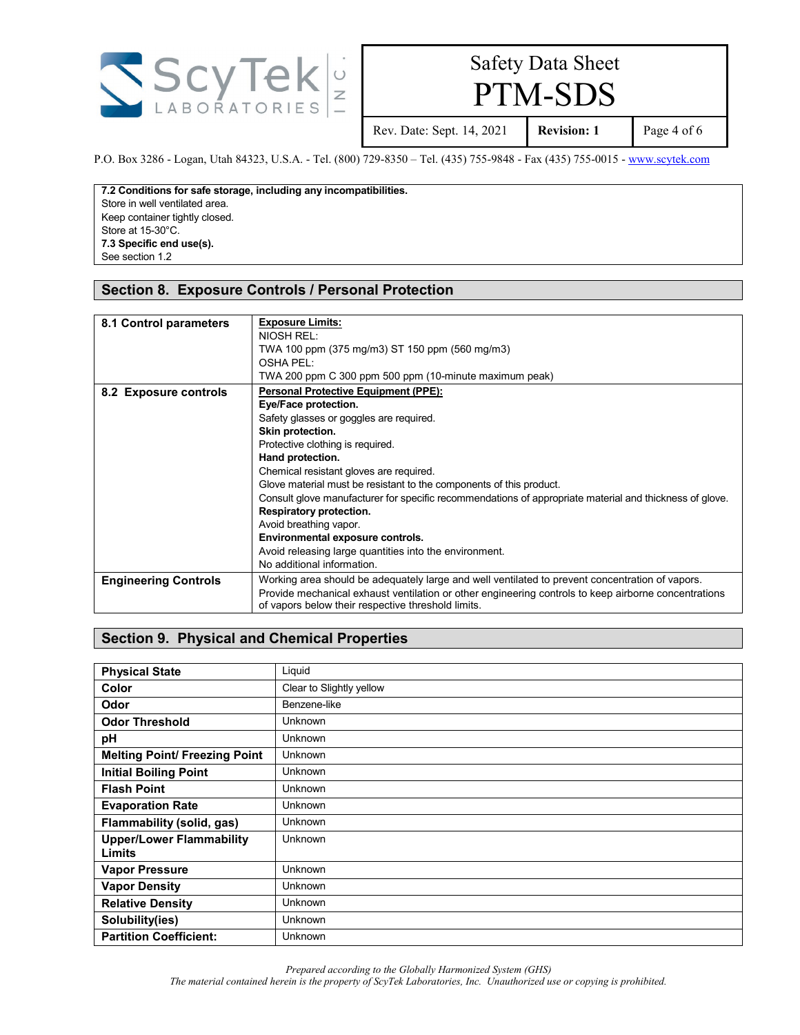

PTM-SDS

Rev. Date: Sept. 14, 2021 **Revision: 1** Page 4 of 6

P.O. Box 3286 - Logan, Utah 84323, U.S.A. - Tel. (800) 729-8350 – Tel. (435) 755-9848 - Fax (435) 755-0015 - [www.scytek.com](http://www.scytek.com/)

**7.2 Conditions for safe storage, including any incompatibilities.** Store in well ventilated area. Keep container tightly closed. Store at 15-30°C. **7.3 Specific end use(s).** See section 1.2

#### **Section 8. Exposure Controls / Personal Protection**

| 8.1 Control parameters      | <b>Exposure Limits:</b><br>NIOSH REL:<br>TWA 100 ppm (375 mg/m3) ST 150 ppm (560 mg/m3)<br>OSHA PEL:<br>TWA 200 ppm C 300 ppm 500 ppm (10-minute maximum peak)                                                                                                                                                                                                                                                                                                                                                                                                                                           |
|-----------------------------|----------------------------------------------------------------------------------------------------------------------------------------------------------------------------------------------------------------------------------------------------------------------------------------------------------------------------------------------------------------------------------------------------------------------------------------------------------------------------------------------------------------------------------------------------------------------------------------------------------|
| 8.2 Exposure controls       | <b>Personal Protective Equipment (PPE):</b><br>Eye/Face protection.<br>Safety glasses or goggles are required.<br>Skin protection.<br>Protective clothing is required.<br>Hand protection.<br>Chemical resistant gloves are required.<br>Glove material must be resistant to the components of this product.<br>Consult glove manufacturer for specific recommendations of appropriate material and thickness of glove.<br>Respiratory protection.<br>Avoid breathing vapor.<br>Environmental exposure controls.<br>Avoid releasing large quantities into the environment.<br>No additional information. |
| <b>Engineering Controls</b> | Working area should be adequately large and well ventilated to prevent concentration of vapors.<br>Provide mechanical exhaust ventilation or other engineering controls to keep airborne concentrations<br>of vapors below their respective threshold limits.                                                                                                                                                                                                                                                                                                                                            |

#### **Section 9. Physical and Chemical Properties**

| <b>Physical State</b>                     | Liquid                   |
|-------------------------------------------|--------------------------|
| Color                                     | Clear to Slightly yellow |
| Odor                                      | Benzene-like             |
| <b>Odor Threshold</b>                     | <b>Unknown</b>           |
| pH                                        | <b>Unknown</b>           |
| <b>Melting Point/ Freezing Point</b>      | Unknown                  |
| <b>Initial Boiling Point</b>              | <b>Unknown</b>           |
| <b>Flash Point</b>                        | <b>Unknown</b>           |
| <b>Evaporation Rate</b>                   | Unknown                  |
| Flammability (solid, gas)                 | <b>Unknown</b>           |
| <b>Upper/Lower Flammability</b><br>Limits | <b>Unknown</b>           |
| <b>Vapor Pressure</b>                     | Unknown                  |
| <b>Vapor Density</b>                      | <b>Unknown</b>           |
| <b>Relative Density</b>                   | <b>Unknown</b>           |
| Solubility(ies)                           | <b>Unknown</b>           |
| <b>Partition Coefficient:</b>             | Unknown                  |

*Prepared according to the Globally Harmonized System (GHS)*

*The material contained herein is the property of ScyTek Laboratories, Inc. Unauthorized use or copying is prohibited.*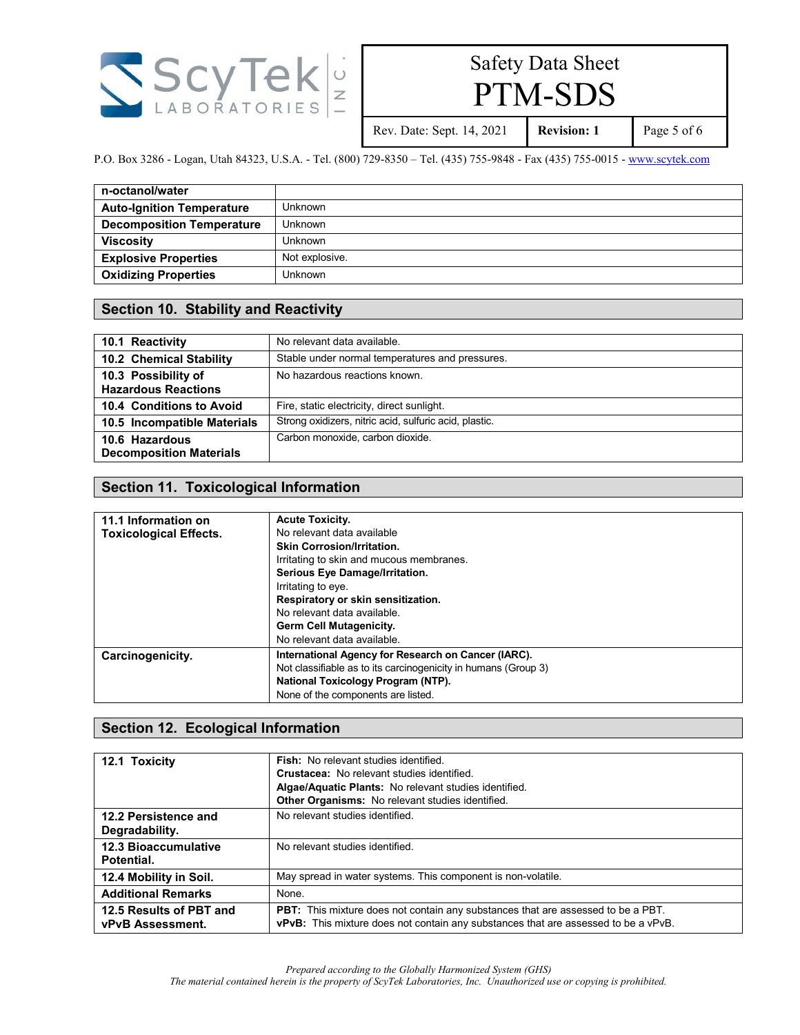

PTM-SDS

Rev. Date: Sept. 14, 2021 **Revision: 1** Page 5 of 6

P.O. Box 3286 - Logan, Utah 84323, U.S.A. - Tel. (800) 729-8350 – Tel. (435) 755-9848 - Fax (435) 755-0015 - [www.scytek.com](http://www.scytek.com/)

| n-octanol/water                  |                |
|----------------------------------|----------------|
| <b>Auto-Ignition Temperature</b> | Unknown        |
| <b>Decomposition Temperature</b> | Unknown        |
| <b>Viscosity</b>                 | <b>Unknown</b> |
| <b>Explosive Properties</b>      | Not explosive. |
| <b>Oxidizing Properties</b>      | Unknown        |

#### **Section 10. Stability and Reactivity**

| 10.1 Reactivity                                   | No relevant data available.                            |
|---------------------------------------------------|--------------------------------------------------------|
| 10.2 Chemical Stability                           | Stable under normal temperatures and pressures.        |
| 10.3 Possibility of<br><b>Hazardous Reactions</b> | No hazardous reactions known.                          |
| 10.4 Conditions to Avoid                          | Fire, static electricity, direct sunlight.             |
| 10.5 Incompatible Materials                       | Strong oxidizers, nitric acid, sulfuric acid, plastic. |
| 10.6 Hazardous<br><b>Decomposition Materials</b>  | Carbon monoxide, carbon dioxide.                       |

#### **Section 11. Toxicological Information**

| 11.1 Information on           | <b>Acute Toxicity.</b>                                         |
|-------------------------------|----------------------------------------------------------------|
| <b>Toxicological Effects.</b> | No relevant data available                                     |
|                               | <b>Skin Corrosion/Irritation.</b>                              |
|                               | Irritating to skin and mucous membranes.                       |
|                               | Serious Eye Damage/Irritation.                                 |
|                               | Irritating to eye.                                             |
|                               | Respiratory or skin sensitization.                             |
|                               | No relevant data available                                     |
|                               | <b>Germ Cell Mutagenicity.</b>                                 |
|                               | No relevant data available.                                    |
| Carcinogenicity.              | International Agency for Research on Cancer (IARC).            |
|                               | Not classifiable as to its carcinogenicity in humans (Group 3) |
|                               | National Toxicology Program (NTP).                             |
|                               | None of the components are listed.                             |

#### **Section 12. Ecological Information**

| 12.1 Toxicity                                      | <b>Fish:</b> No relevant studies identified.<br><b>Crustacea:</b> No relevant studies identified.<br>Algae/Aquatic Plants: No relevant studies identified.<br>Other Organisms: No relevant studies identified. |
|----------------------------------------------------|----------------------------------------------------------------------------------------------------------------------------------------------------------------------------------------------------------------|
| 12.2 Persistence and<br>Degradability.             | No relevant studies identified.                                                                                                                                                                                |
| <b>12.3 Bioaccumulative</b><br>Potential.          | No relevant studies identified.                                                                                                                                                                                |
| 12.4 Mobility in Soil.                             | May spread in water systems. This component is non-volatile.                                                                                                                                                   |
| <b>Additional Remarks</b>                          | None.                                                                                                                                                                                                          |
| 12.5 Results of PBT and<br><b>vPvB Assessment.</b> | PBT: This mixture does not contain any substances that are assessed to be a PBT.<br><b>vPvB:</b> This mixture does not contain any substances that are assessed to be a vPvB.                                  |